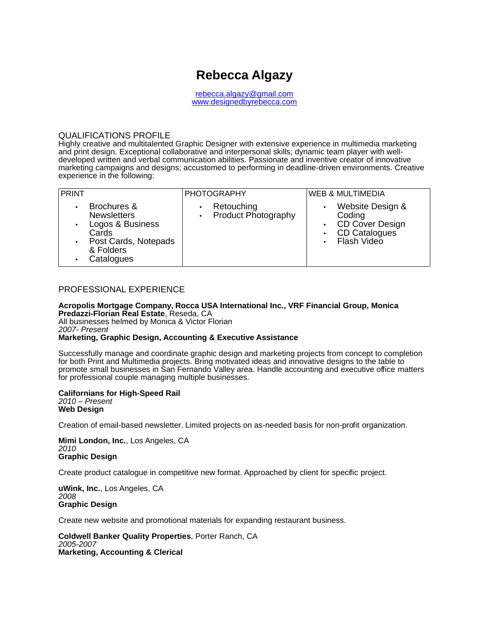# **Rebecca Algazy**

[rebecca.algazy@gmail.com](mailto:rebecca.algazy@gmail.com) www.designedbyrebecca.com

## QUALIFICATIONS PROFILE

Highly creative and multitalented Graphic Designer with extensive experience in multimedia marketing and print design. Exceptional collaborative and interpersonal skills; dynamic team player with welldeveloped written and verbal communication abilities. Passionate and inventive creator of innovative marketing campaigns and designs; accustomed to performing in deadline-driven environments. Creative experience in the following:

| <b>PRINT</b>                                                                                                                                     | <b>PHOTOGRAPHY</b>                                                 | <b>WEB &amp; MULTIMEDIA</b>                                                                              |
|--------------------------------------------------------------------------------------------------------------------------------------------------|--------------------------------------------------------------------|----------------------------------------------------------------------------------------------------------|
| Brochures &<br>٠<br><b>Newsletters</b><br>Logos & Business<br>$\bullet$<br>Cards<br>Post Cards, Notepads<br>$\bullet$<br>& Folders<br>Catalogues | Retouching<br>$\bullet$<br><b>Product Photography</b><br>$\bullet$ | Website Design &<br>$\bullet$<br>Coding<br><b>CD Cover Design</b><br>CD Catalogues<br><b>Flash Video</b> |

# PROFESSIONAL EXPERIENCE

**Acropolis Mortgage Company, Rocca USA International Inc., VRF Financial Group, Monica Predazzi-Florian Real Estate**, Reseda, CA All businesses helmed by Monica & Victor Florian 2007- Present

### **Marketing, Graphic Design, Accounting & Executive Assistance**

Successfully manage and coordinate graphic design and marketing projects from concept to completion for both Print and Multimedia projects. Bring motivated ideas and innovative designs to the table to promote small businesses in San Fernando Valley area. Handle accounting and executive office matters for professional couple managing multiple businesses.

#### **Californians for High-Speed Rail** 2010 – Present **Web Design**

Creation of email-based newsletter. Limited projects on as-needed basis for non-profit organization.

**Mimi London, Inc.**, Los Angeles, CA 2010 **Graphic Design**

Create product catalogue in competitive new format. Approached by client for specific project.

**uWink, Inc.**, Los Angeles, CA 2008 **Graphic Design**

Create new website and promotional materials for expanding restaurant business.

**Coldwell Banker Quality Properties**, Porter Ranch, CA 2005-2007 **Marketing, Accounting & Clerical**